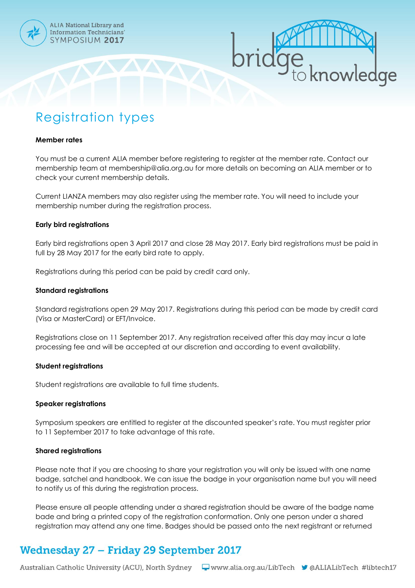

# knowledge

## Registration types

#### **Member rates**

You must be a current ALIA member before registering to register at the member rate. Contact our membership team at membership@alia.org.au for more details on becoming an ALIA member or to check your current membership details.

Current LIANZA members may also register using the member rate. You will need to include your membership number during the registration process.

#### **Early bird registrations**

Early bird registrations open 3 April 2017 and close 28 May 2017. Early bird registrations must be paid in full by 28 May 2017 for the early bird rate to apply.

Registrations during this period can be paid by credit card only.

#### **Standard registrations**

Standard registrations open 29 May 2017. Registrations during this period can be made by credit card (Visa or MasterCard) or EFT/Invoice.

Registrations close on 11 September 2017. Any registration received after this day may incur a late processing fee and will be accepted at our discretion and according to event availability.

#### **Student registrations**

Student registrations are available to full time students.

#### **Speaker registrations**

Symposium speakers are entitled to register at the discounted speaker's rate. You must register prior to 11 September 2017 to take advantage of this rate.

#### **Shared registrations**

Please note that if you are choosing to share your registration you will only be issued with one name badge, satchel and handbook. We can issue the badge in your organisation name but you will need to notify us of this during the registration process.

Please ensure all people attending under a shared registration should be aware of the badge name bade and bring a printed copy of the registration conformation. Only one person under a shared registration may attend any one time. Badges should be passed onto the next registrant or returned

## **Wednesday 27 - Friday 29 September 2017**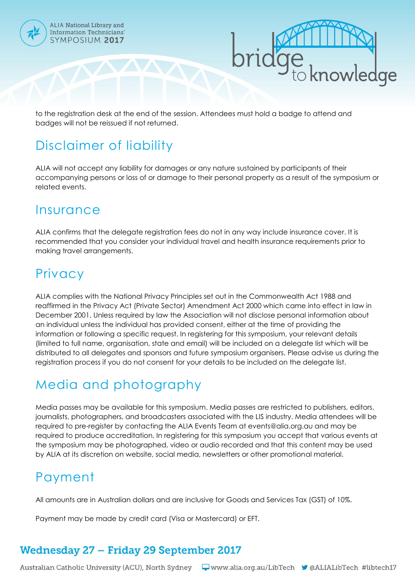

ALIA National Library and **Information Technicians'** SYMPOSIUM 2017



to the registration desk at the end of the session. Attendees must hold a badge to attend and badges will not be reissued if not returned.

# Disclaimer of liability

ALIA will not accept any liability for damages or any nature sustained by participants of their accompanying persons or loss of or damage to their personal property as a result of the symposium or related events.

## **Insurance**

ALIA confirms that the delegate registration fees do not in any way include insurance cover. It is recommended that you consider your individual travel and health insurance requirements prior to making travel arrangements.

## **Privacy**

ALIA complies with the National Privacy Principles set out in the Commonwealth Act 1988 and reaffirmed in the Privacy Act (Private Sector) Amendment Act 2000 which came into effect in law in December 2001. Unless required by law the Association will not disclose personal information about an individual unless the individual has provided consent, either at the time of providing the information or following a specific request. In registering for this symposium, your relevant details (limited to full name, organisation, state and email) will be included on a delegate list which will be distributed to all delegates and sponsors and future symposium organisers. Please advise us during the registration process if you do not consent for your details to be included on the delegate list.

# Media and photography

Media passes may be available for this symposium. Media passes are restricted to publishers, editors, journalists, photographers, and broadcasters associated with the LIS industry. Media attendees will be required to pre-register by contacting the ALIA Events Team at events@alia.org.au and may be required to produce accreditation. In registering for this symposium you accept that various events at the symposium may be photographed, video or audio recorded and that this content may be used by ALIA at its discretion on website, social media, newsletters or other promotional material.

## Payment

All amounts are in Australian dollars and are inclusive for Goods and Services Tax (GST) of 10%.

Payment may be made by credit card (Visa or Mastercard) or EFT.

# **Wednesday 27 - Friday 29 September 2017**